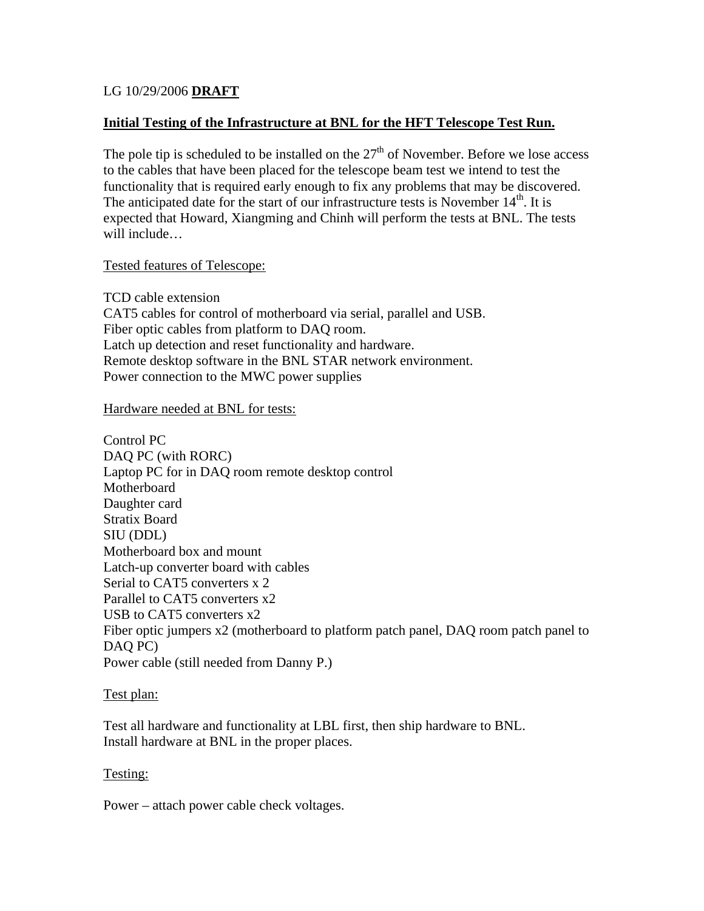# LG 10/29/2006 **DRAFT**

## **Initial Testing of the Infrastructure at BNL for the HFT Telescope Test Run.**

The pole tip is scheduled to be installed on the  $27<sup>th</sup>$  of November. Before we lose access to the cables that have been placed for the telescope beam test we intend to test the functionality that is required early enough to fix any problems that may be discovered. The anticipated date for the start of our infrastructure tests is November  $14<sup>th</sup>$ . It is expected that Howard, Xiangming and Chinh will perform the tests at BNL. The tests will include…

## Tested features of Telescope:

TCD cable extension CAT5 cables for control of motherboard via serial, parallel and USB. Fiber optic cables from platform to DAQ room. Latch up detection and reset functionality and hardware. Remote desktop software in the BNL STAR network environment. Power connection to the MWC power supplies

#### Hardware needed at BNL for tests:

Control PC DAQ PC (with RORC) Laptop PC for in DAQ room remote desktop control Motherboard Daughter card Stratix Board SIU (DDL) Motherboard box and mount Latch-up converter board with cables Serial to CAT5 converters x 2 Parallel to CAT5 converters x2 USB to CAT5 converters x2 Fiber optic jumpers x2 (motherboard to platform patch panel, DAQ room patch panel to DAQ PC) Power cable (still needed from Danny P.)

## Test plan:

Test all hardware and functionality at LBL first, then ship hardware to BNL. Install hardware at BNL in the proper places.

## Testing:

Power – attach power cable check voltages.